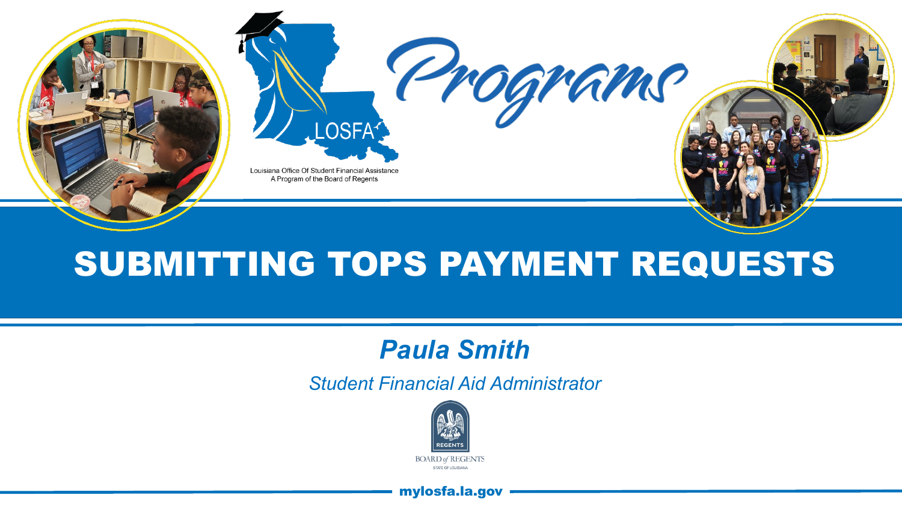

# SUBMITTING TOPS PAYMENT REQUESTS

## *Paula Smith*

*Student Financial Aid Administrator* 



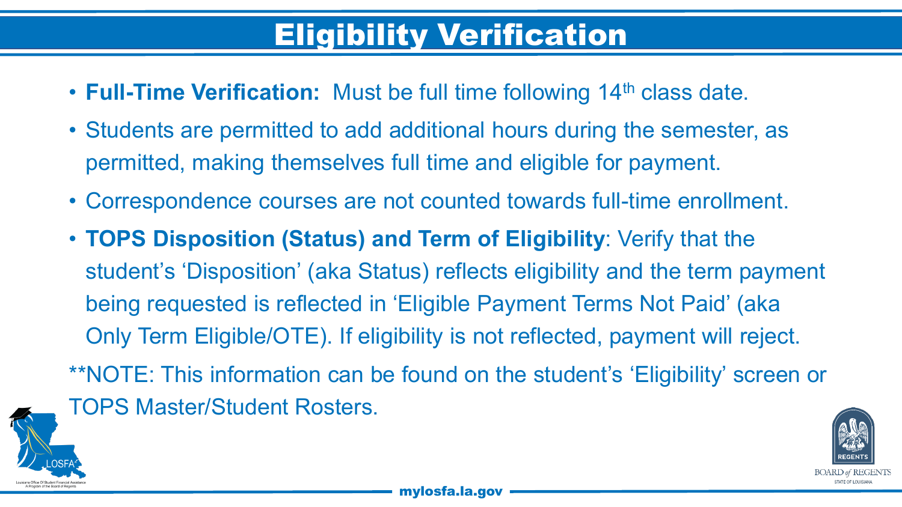# Eligibility Verification

- **Full-Time Verification:** Must be full time following 14<sup>th</sup> class date.
- Students are permitted to add additional hours during the semester, as permitted, making themselves full time and eligible for payment.
- Correspondence courses are not counted towards full-time enrollment.
- **TOPS Disposition (Status) and Term of Eligibility**: Verify that the student's 'Disposition' (aka Status) reflects eligibility and the term payment being requested is reflected in 'Eligible Payment Terms Not Paid' (aka Only Term Eligible/OTE). If eligibility is not reflected, payment will reject. \*\*NOTE: This information can be found on the student's 'Eligibility' screen or



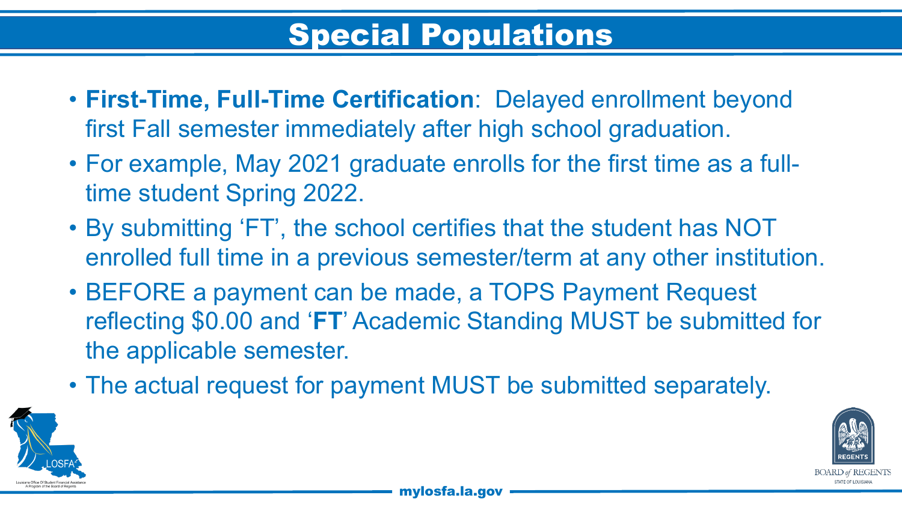- **First-Time, Full-Time Certification**: Delayed enrollment beyond first Fall semester immediately after high school graduation.
- For example, May 2021 graduate enrolls for the first time as a fulltime student Spring 2022.
- By submitting 'FT', the school certifies that the student has NOT enrolled full time in a previous semester/term at any other institution.
- BEFORE a payment can be made, a TOPS Payment Request reflecting \$0.00 and '**FT**' Academic Standing MUST be submitted for the applicable semester.
- The actual request for payment MUST be submitted separately.

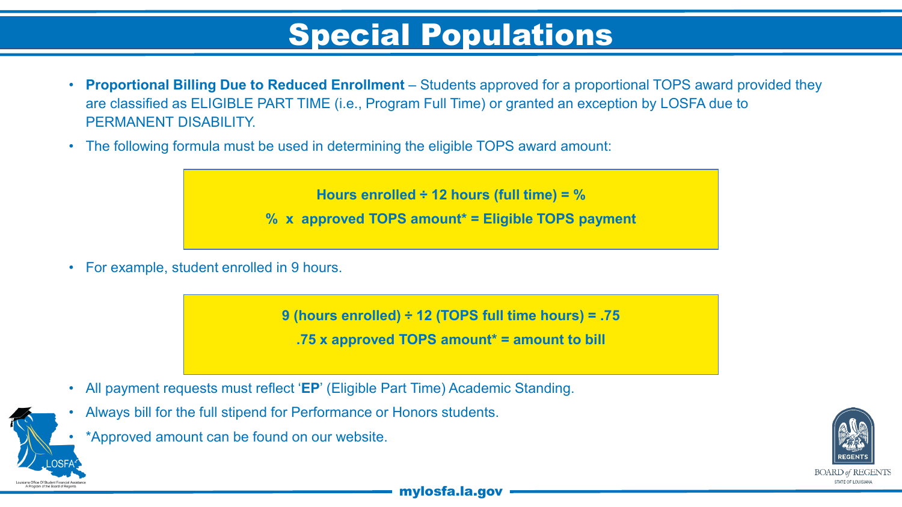- **Proportional Billing Due to Reduced Enrollment**  Students approved for a proportional TOPS award provided they are classified as ELIGIBLE PART TIME (i.e., Program Full Time) or granted an exception by LOSFA due to PERMANENT DISABILITY
- The following formula must be used in determining the eligible TOPS award amount:

**Hours enrolled ÷ 12 hours (full time) = %** 

**% x approved TOPS amount\* = Eligible TOPS payment**

• For example, student enrolled in 9 hours.

**9 (hours enrolled) ÷ 12 (TOPS full time hours) = .75** 

**.75 x approved TOPS amount\* = amount to bill**

- All payment requests must reflect '**EP**' (Eligible Part Time) Academic Standing.
- Always bill for the full stipend for Performance or Honors students.
- \*Approved amount can be found on our website.

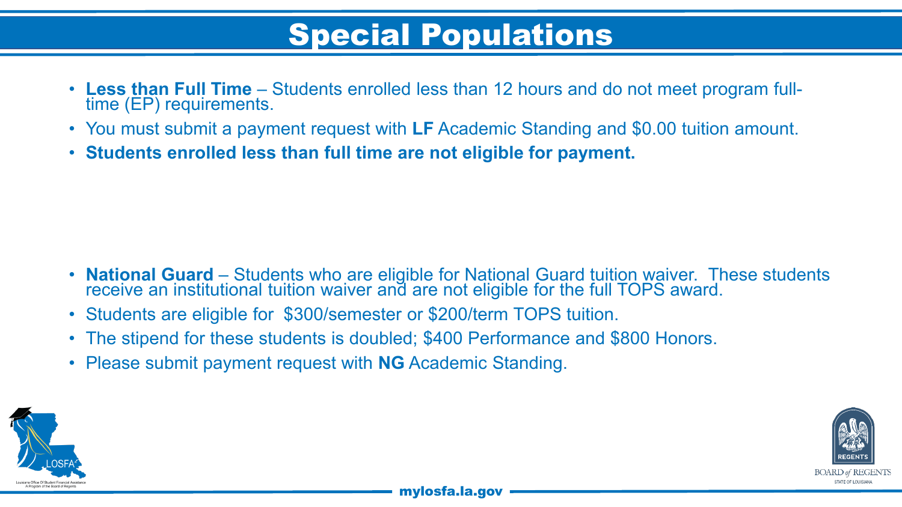- **Less than Full Time**  Students enrolled less than 12 hours and do not meet program full- time (EP) requirements.
- You must submit a payment request with **LF** Academic Standing and \$0.00 tuition amount.
- **Students enrolled less than full time are not eligible for payment.**

- **National Guard** Students who are eligible for National Guard tuition waiver. These students receive an institutional tuition waiver and are not eligible for the full TOPS award.
- Students are eligible for \$300/semester or \$200/term TOPS tuition.
- The stipend for these students is doubled; \$400 Performance and \$800 Honors.
- Please submit payment request with **NG** Academic Standing.



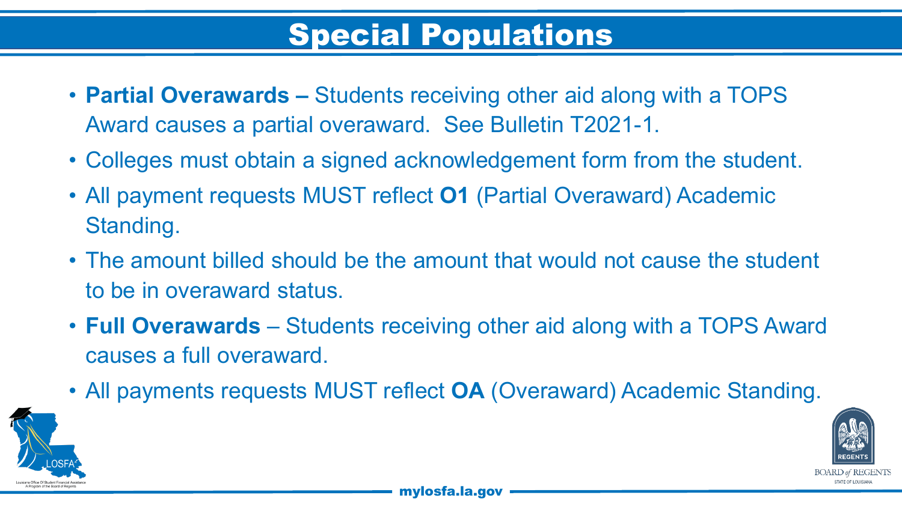- **Partial Overawards –** Students receiving other aid along with a TOPS Award causes a partial overaward. See Bulletin T2021-1.
- Colleges must obtain a signed acknowledgement form from the student.
- All payment requests MUST reflect **O1** (Partial Overaward) Academic Standing.
- The amount billed should be the amount that would not cause the student to be in overaward status.
- **Full Overawards** Students receiving other aid along with a TOPS Award causes a full overaward.
- All payments requests MUST reflect **OA** (Overaward) Academic Standing.

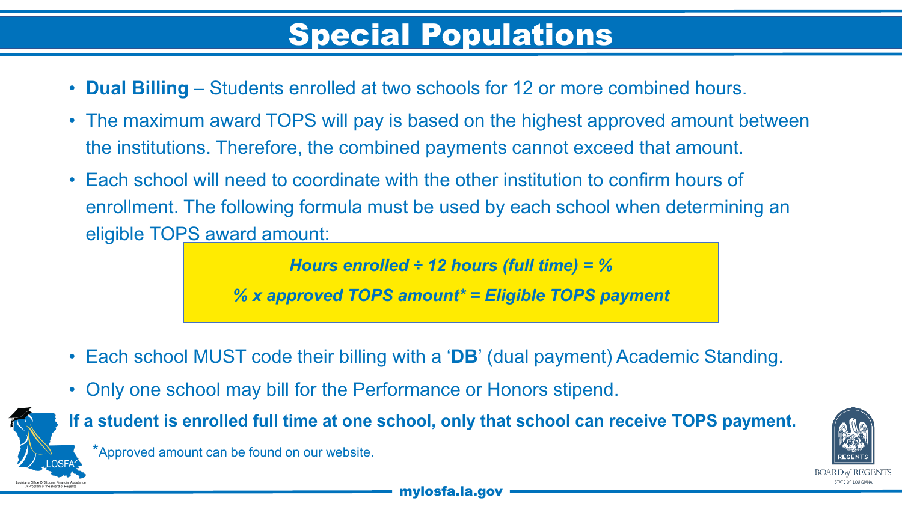- **Dual Billing**  Students enrolled at two schools for 12 or more combined hours.
- The maximum award TOPS will pay is based on the highest approved amount between the institutions. Therefore, the combined payments cannot exceed that amount.
- Each school will need to coordinate with the other institution to confirm hours of enrollment. The following formula must be used by each school when determining an eligible TOPS award amount:

*Hours enrolled ÷ 12 hours (full time) = %* 

*% x approved TOPS amount\* = Eligible TOPS payment*

- Each school MUST code their billing with a '**DB**' (dual payment) Academic Standing.
- Only one school may bill for the Performance or Honors stipend.



**If a student is enrolled full time at one school, only that school can receive TOPS payment.** 

\*Approved amount can be found on our website.

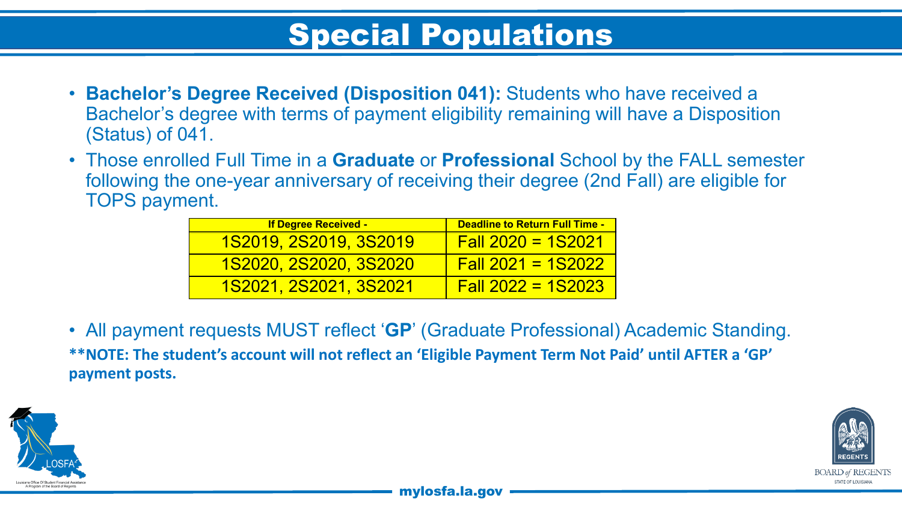- **Bachelor's Degree Received (Disposition 041):** Students who have received a Bachelor's degree with terms of payment eligibility remaining will have a Disposition (Status) of 041.
- Those enrolled Full Time in a **Graduate** or **Professional** School by the FALL semester following the one-year anniversary of receiving their degree (2nd Fall) are eligible for TOPS payment.

| <b>If Degree Received -</b>   | <b>Deadline to Return Full Time -</b> |
|-------------------------------|---------------------------------------|
| <u>1S2019, 2S2019, 3S2019</u> | $Fall 2020 = 1S2021$                  |
| <u>1S2020, 2S2020, 3S2020</u> | $Fall 2021 = 1S2022$                  |
| <u>1S2021, 2S2021, 3S2021</u> | $Fall 2022 = 1S2023$                  |

• All payment requests MUST reflect '**GP**' (Graduate Professional) Academic Standing. **\*\*NOTE: The student's account will not reflect an 'Eligible Payment Term Not Paid' until AFTER a 'GP' payment posts.**



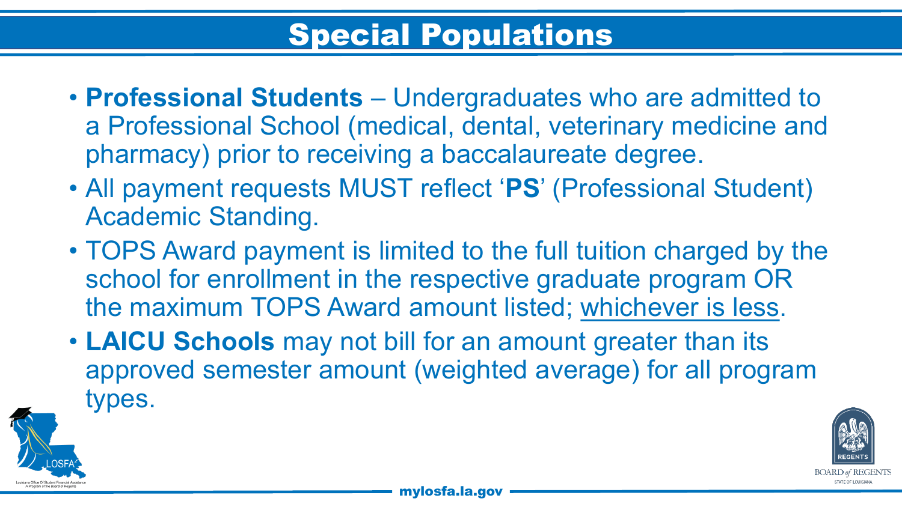- **Professional Students**  Undergraduates who are admitted to a Professional School (medical, dental, veterinary medicine and pharmacy) prior to receiving a baccalaureate degree.
- All payment requests MUST reflect '**PS**' (Professional Student) Academic Standing.
- TOPS Award payment is limited to the full tuition charged by the school for enrollment in the respective graduate program OR the maximum TOPS Award amount listed; whichever is less.
- **LAICU Schools** may not bill for an amount greater than its approved semester amount (weighted average) for all program types.

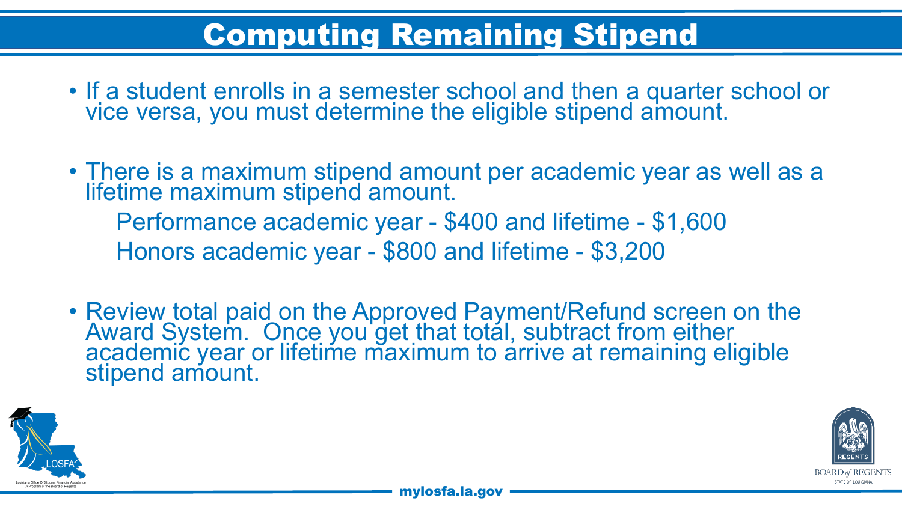# Computing Remaining Stipend

- If a student enrolls in a semester school and then a quarter school or vice versa, you must determine the eligible stipend amount.
- There is a maximum stipend amount per academic year as well as a lifetime maximum stipend amount. Performance academic year - \$400 and lifetime - \$1,600 Honors academic year - \$800 and lifetime - \$3,200
- Review total paid on the Approved Payment/Refund screen on the Award System. Once you get that total, subtract from either academic year or lifetime maximum to arrive at remaining eligible stipend amount.



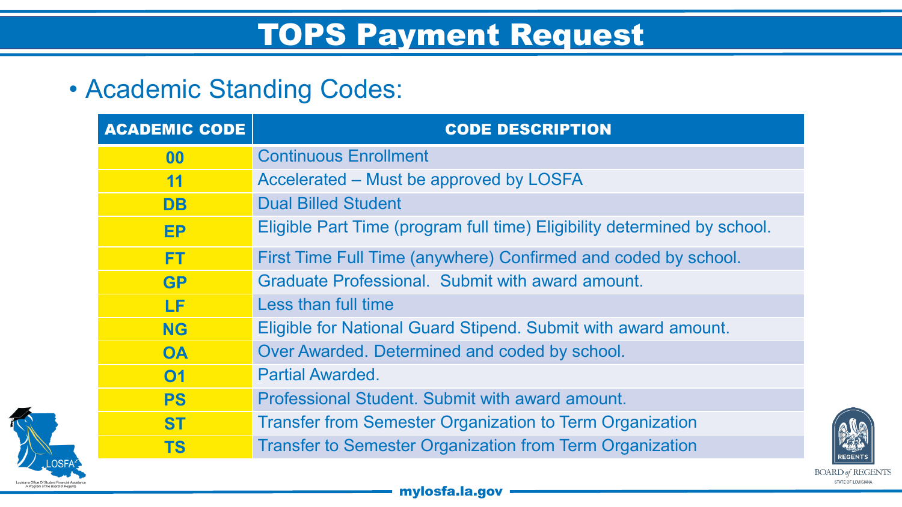# TOPS Payment Request

### • Academic Standing Codes:

| <b>ACADEMIC CODE</b> | <b>CODE DESCRIPTION</b>                                                  |
|----------------------|--------------------------------------------------------------------------|
| 00                   | <b>Continuous Enrollment</b>                                             |
| 11                   | Accelerated – Must be approved by LOSFA                                  |
| <b>DB</b>            | <b>Dual Billed Student</b>                                               |
| <b>EP</b>            | Eligible Part Time (program full time) Eligibility determined by school. |
| <b>FT</b>            | First Time Full Time (anywhere) Confirmed and coded by school.           |
| <b>GP</b>            | Graduate Professional. Submit with award amount.                         |
| LF                   | Less than full time                                                      |
| <b>NG</b>            | Eligible for National Guard Stipend. Submit with award amount.           |
| <b>OA</b>            | Over Awarded. Determined and coded by school.                            |
| 01                   | <b>Partial Awarded.</b>                                                  |
| <b>PS</b>            | Professional Student. Submit with award amount.                          |
| <b>ST</b>            | <b>Transfer from Semester Organization to Term Organization</b>          |
| <b>TS</b>            | <b>Transfer to Semester Organization from Term Organization</b>          |
|                      |                                                                          |



**REGENTS BOARD of REGENTS** STATE OF LOUISIANA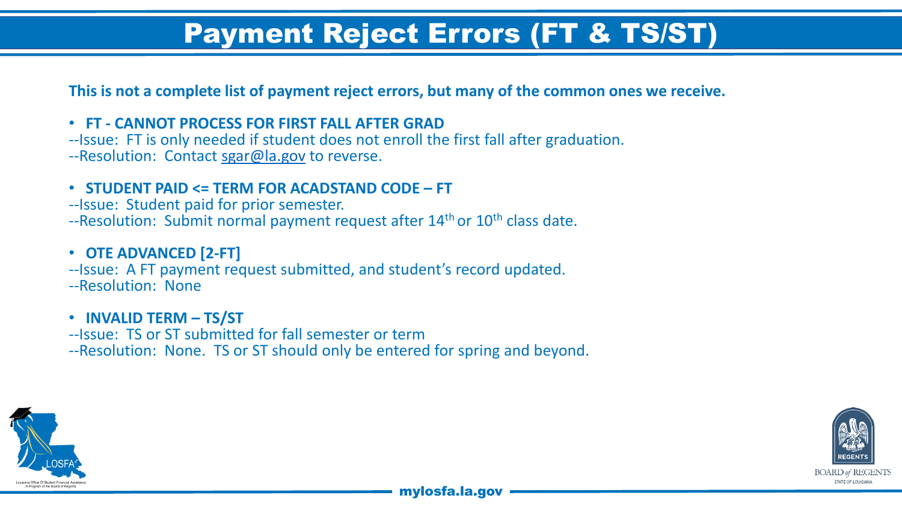## Payment Reject Errors (FT & TS/ST)

**This is not a complete list of payment reject errors, but many of the common ones we receive.**

- 
- **FT - CANNOT PROCESS FOR FIRST FALL AFTER GRAD** --Issue: FT is only needed if student does not enroll the first fall after graduation.
- --Resolution: Contact [sgar@la.gov](mailto:sgar@la.gov) to reverse.
- **STUDENT PAID <= TERM FOR ACADSTAND CODE – FT** --Issue: Student paid for prior semester.
- 
- $-$ Resolution: Submit normal payment request after  $14<sup>th</sup>$  or  $10<sup>th</sup>$  class date.

- **OTE ADVANCED [2-FT]**<br>--Issue: A FT payment request submitted, and student's record updated.
- --Resolution: None
- 
- **INVALID TERM – TS/ST** --Issue: TS or ST submitted for fall semester or term
- --Resolution: None. TS or ST should only be entered for spring and beyond.



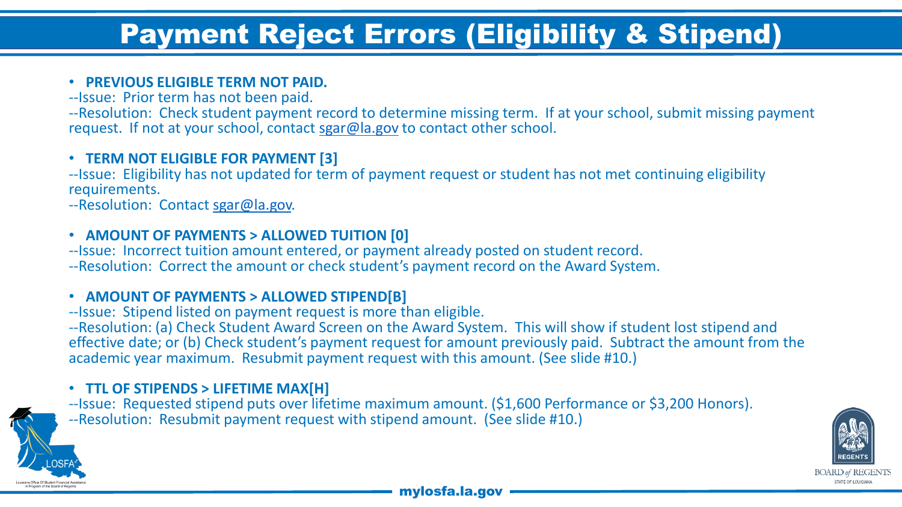## Payment Reject Errors (Eligibility & Stipend)

## • **PREVIOUS ELIGIBLE TERM NOT PAID.** --Issue: Prior term has not been paid.

--Resolution: Check student payment record to determine missing term. If at your school, submit missing payment request. If not at your school, contact [sgar@la.gov](mailto:sgar@la.gov) to contact other school.

• **TERM NOT ELIGIBLE FOR PAYMENT [3]**<br>--Issue: Eligibility has not updated for term of payment request or student has not met continuing eligibility requirements.

--Resolution: Contact [sgar@la.gov.](mailto:sgar@la.gov)

• **AMOUNT OF PAYMENTS > ALLOWED TUITION [0]**<br>--Issue: Incorrect tuition amount entered, or payment already posted on student record.

--Resolution: Correct the amount or check student's payment record on the Award System.

• **AMOUNT OF PAYMENTS > ALLOWED STIPEND[B]** --Issue: Stipend listed on payment request is more than eligible.

--Resolution: (a) Check Student Award Screen on the Award System. This will show if student lost stipend and effective date; or (b) Check student's payment request for amount previously paid. Subtract the amount from the academic year maximum. Resubmit payment request with this amount. (See slide #10.)

• **TTL OF STIPENDS > LIFETIME MAX[H]**<br>--Issue: Requested stipend puts over lifetime maximum amount. (\$1,600 Performance or \$3,200 Honors). --Resolution: Resubmit payment request with stipend amount. (See slide #10.)



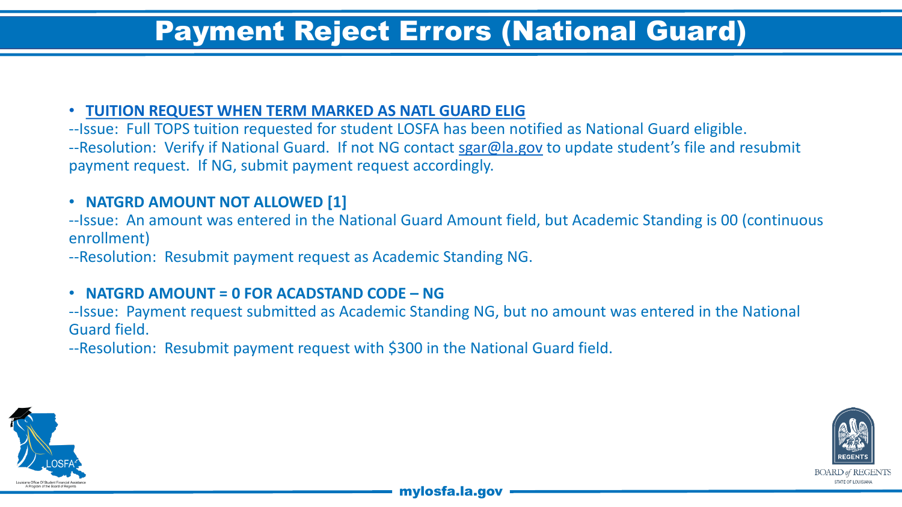## Payment Reject Errors (National Guard)

### • **TUITION REQUEST WHEN TERM MARKED AS NATL GUARD ELIG**

--Issue: Full TOPS tuition requested for student LOSFA has been notified as National Guard eligible. --Resolution: Verify if National Guard. If not NG contact [sgar@la.gov](mailto:sgar@la.gov) to update student's file and resubmit payment request. If NG, submit payment request accordingly.

### • **NATGRD AMOUNT NOT ALLOWED [1]**

--Issue: An amount was entered in the National Guard Amount field, but Academic Standing is 00 (continuous enrollment)

--Resolution: Resubmit payment request as Academic Standing NG.

### • **NATGRD AMOUNT = 0 FOR ACADSTAND CODE – NG**

--Issue: Payment request submitted as Academic Standing NG, but no amount was entered in the National Guard field.

--Resolution: Resubmit payment request with \$300 in the National Guard field.



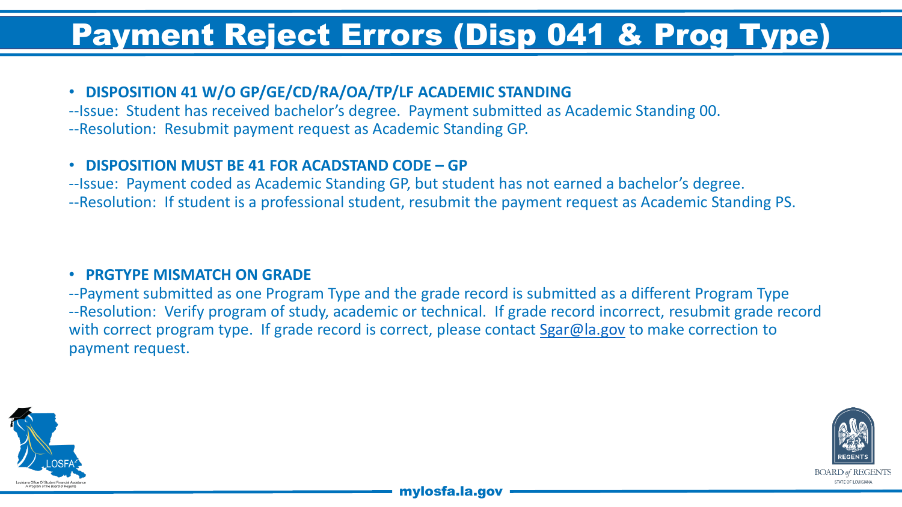# Payment Reject Errors (Disp 041 & Prog Type)

### • **DISPOSITION 41 W/O GP/GE/CD/RA/OA/TP/LF ACADEMIC STANDING**

--Issue: Student has received bachelor's degree. Payment submitted as Academic Standing 00. --Resolution: Resubmit payment request as Academic Standing GP.

### • **DISPOSITION MUST BE 41 FOR ACADSTAND CODE – GP**

--Issue: Payment coded as Academic Standing GP, but student has not earned a bachelor's degree. --Resolution: If student is a professional student, resubmit the payment request as Academic Standing PS.

### • **PRGTYPE MISMATCH ON GRADE**

--Payment submitted as one Program Type and the grade record is submitted as a different Program Type --Resolution: Verify program of study, academic or technical. If grade record incorrect, resubmit grade record with correct program type. If grade record is correct, please contact [Sgar@la.gov](mailto:Sgar@la.gov) to make correction to payment request.